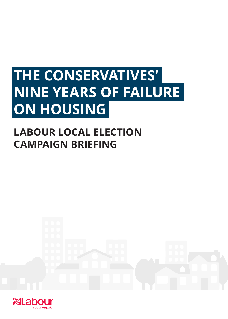# **THE CONSERVATIVES' NINE YEARS OF FAILURE ON HOUSING**

## **LABOUR LOCAL ELECTION CAMPAIGN BRIEFING**



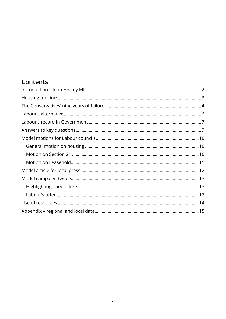## Contents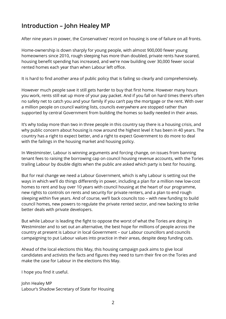## **Introduction – John Healey MP**

After nine years in power, the Conservatives' record on housing is one of failure on all fronts.

Home-ownership is down sharply for young people, with almost 900,000 fewer young homeowners since 2010, rough sleeping has more than doubled, private rents have soared, housing benefit spending has increased, and we're now building over 30,000 fewer social rented homes each year than when Labour left office.

It is hard to find another area of public policy that is failing so clearly and comprehensively.

However much people save it still gets harder to buy that first home. However many hours you work, rents still eat up more of your pay packet. And if you fall on hard times there's often no safety net to catch you and your family if you can't pay the mortgage or the rent. With over a million people on council waiting lists, councils everywhere are stopped rather than supported by central Government from building the homes so badly needed in their areas.

It's why today more than two in three people in this country say there is a housing crisis, and why public concern about housing is now around the highest level it has been in 40 years. The country has a right to expect better, and a right to expect Government to do more to deal with the failings in the housing market and housing policy.

In Westminster, Labour is winning arguments and forcing change, on issues from banning tenant fees to raising the borrowing cap on council housing revenue accounts, with the Tories trailing Labour by double digits when the public are asked which party is best for housing.

But for real change we need a Labour Government, which is why Labour is setting out the ways in which we'll do things differently in power, including a plan for a million new low-cost homes to rent and buy over 10 years with council housing at the heart of our programme, new rights to controls on rents and security for private renters, and a plan to end rough sleeping within five years. And of course, we'll back councils too – with new funding to build council homes, new powers to regulate the private rented sector, and new backing to strike better deals with private developers.

But while Labour is leading the fight to oppose the worst of what the Tories are doing in Westminster and to set out an alternative, the best hope for millions of people across the country at present is Labour in local Government – our Labour councillors and councils campaigning to put Labour values into practice in their areas, despite deep funding cuts.

Ahead of the local elections this May, this housing campaign pack aims to give local candidates and activists the facts and figures they need to turn their fire on the Tories and make the case for Labour in the elections this May.

I hope you find it useful.

John Healey MP Labour's Shadow Secretary of State for Housing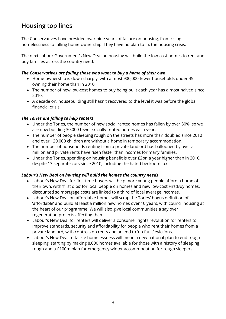## **Housing top lines**

The Conservatives have presided over nine years of failure on housing, from rising homelessness to falling home-ownership. They have no plan to fix the housing crisis.

The next Labour Government's New Deal on housing will build the low-cost homes to rent and buy families across the country need.

#### *The Conservatives are failing those who want to buy a home of their own*

- Home-ownership is down sharply, with almost 900,000 fewer households under 45 owning their home than in 2010.
- The number of new low-cost homes to buy being built each year has almost halved since 2010.
- A decade on, housebuilding still hasn't recovered to the level it was before the global financial crisis.

#### *The Tories are failing to help renters*

- Under the Tories, the number of new social rented homes has fallen by over 80%, so we are now building 30,000 fewer socially rented homes each year.
- The number of people sleeping rough on the streets has more than doubled since 2010 and over 120,000 children are without a home in temporary accommodation.
- The number of households renting from a private landlord has ballooned by over a million and private rents have risen faster than incomes for many families.
- Under the Tories, spending on housing benefit is over £2bn a year higher than in 2010, despite 13 separate cuts since 2010, including the hated bedroom tax.

#### *Labour's New Deal on housing will build the homes the country needs*

- Labour's New Deal for first time buyers will help more young people afford a home of their own, with 'first dibs' for local people on homes and new low-cost FirstBuy homes, discounted so mortgage costs are linked to a third of local average incomes.
- Labour's New Deal on affordable homes will scrap the Tories' bogus definition of 'affordable' and build at least a million new homes over 10 years, with council housing at the heart of our programme. We will also give local communities a say over regeneration projects affecting them.
- Labour's New Deal for renters will deliver a consumer rights revolution for renters to improve standards, security and affordability for people who rent their homes from a private landlord, with controls on rents and an end to 'no fault' evictions.
- Labour's New Deal to tackle homelessness will mean a new national plan to end rough sleeping, starting by making 8,000 homes available for those with a history of sleeping rough and a £100m plan for emergency winter accommodation for rough sleepers.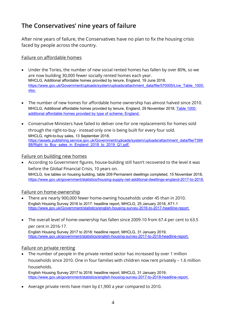## **The Conservatives' nine years of failure**

After nine years of failure, the Conservatives have no plan to fix the housing crisis faced by people across the country.

#### Failure on affordable homes

- Under the Tories, the number of new social rented homes has fallen by over 80%, so we are now building 30,000 fewer socially rented homes each year. MHCLG, Additional affordable homes provided by tenure, England, 19 June 2018, https://www.gov.uk/Government/uploads/system/uploads/attachment\_data/file/570005/Live\_Table\_1000. xlsx.
- The number of new homes for affordable home ownership has almost halved since 2010. MHCLG, Additional affordable homes provided by tenure, England, 29 November 2018, Table 1000: additional affordable homes provided by type of scheme, England.
- Conservative Ministers have failed to deliver one-for one replacements for homes sold through the right-to-buy - instead only one is being built for every four sold. MHCLG, right-to-buy sales, 13 September 2018, https://assets.publishing.service.gov.uk/Government/uploads/system/uploads/attachment\_data/file/7399 88/Right to Buy sales in England 2018 to 2019 Q1.pdf.

#### Failure on building new homes

• According to Government figures, house-building still hasn't recovered to the level it was before the Global Financial Crisis, 10 years on. MHCLG, live tables on housing building, table 209 Permanent dwellings completed, 15 November 2018, https://www.gov.uk/government/statistics/housing-supply-net-additional-dwellings-england-2017-to-2018.

#### Failure on home-ownership

- There are nearly 900,000 fewer home-owning households under 45 than in 2010. English Housing Survey 2016 to 2017: headline report, MHCLG, 25 January 2018, AT1.1 https://www.gov.uk/Government/statistics/english-housing-survey-2016-to-2017-headline-report.
- The overall level of home-ownership has fallen since 2009-10 from 67.4 per cent to 63.5 per cent in 2016-17. English Housing Survey 2017 to 2018: headline report, MHCLG, 31 January 2019, https://www.gov.uk/government/statistics/english-housing-survey-2017-to-2018-headline-report.

#### Failure on private renting

• The number of people in the private rented sector has increased by over 1 million households since 2010. One in four families with children now rent privately – 1.6 million households.

English Housing Survey 2017 to 2018: headline report, MHCLG, 31 January 2019, https://www.gov.uk/government/statistics/english-housing-survey-2017-to-2018-headline-report.

• Average private rents have risen by £1,900 a year compared to 2010.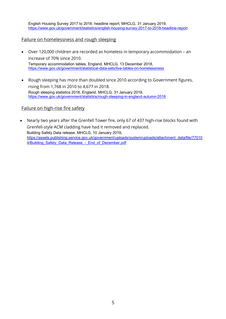English Housing Survey 2017 to 2018: headline report, MHCLG, 31 January 2019, https://www.gov.uk/government/statistics/english-housing-survey-2017-to-2018-headline-report

#### Failure on homelessness and rough sleeping

- Over 120,000 children are recorded as homeless in temporary accommodation an increase of 70% since 2010. Temporary accommodation tables, England, MHCLG, 13 December 2018, https://www.gov.uk/government/statistical-data-sets/live-tables-on-homelessness
- Rough sleeping has more than doubled since 2010 according to Government figures, rising from 1,768 in 2010 to 4,677 in 2018. Rough sleeping statistics 2018, England, MHCLG, 31 January 2019, https://www.gov.uk/government/statistics/rough-sleeping-in-england-autumn-2018

#### Failure on high-rise fire safety

• Nearly two years after the Grenfell Tower fire, only 67 of 437 high-rise blocks found with Grenfell-style ACM cladding have had it removed and replaced. Building Safety Data release, MHCLG, 10 January 2019, https://assets.publishing.service.gov.uk/government/uploads/system/uploads/attachment\_data/file/77010 4/Building\_Safety\_Data\_Release - End\_of\_December.pdf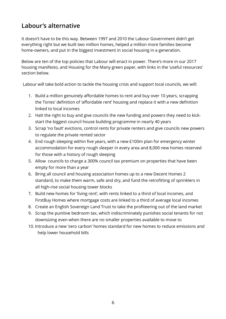## **Labour's alternative**

It doesn't have to be this way. Between 1997 and 2010 the Labour Government didn't get everything right but we built two million homes, helped a million more families become home-owners, and put in the biggest investment in social housing in a generation.

Below are ten of the top policies that Labour will enact in power. There's more in our 2017 housing manifesto, and Housing for the Many green paper, with links in the 'useful resources' section below.

Labour will take bold action to tackle the housing crisis and support local councils, we will:

- 1. Build a million genuinely affordable homes to rent and buy over 10 years, scrapping the Tories' definition of 'affordable rent' housing and replace it with a new definition linked to local incomes
- 2. Halt the right to buy and give councils the new funding and powers they need to kickstart the biggest council house building programme in nearly 40 years
- 3. Scrap 'no fault' evictions, control rents for private renters and give councils new powers to regulate the private rented sector
- 4. End rough sleeping within five years, with a new £100m plan for emergency winter accommodation for every rough sleeper in every area and 8,000 new homes reserved for those with a history of rough sleeping
- 5. Allow councils to charge a 300% council tax premium on properties that have been empty for more than a year
- 6. Bring all council and housing association homes up to a new Decent Homes 2 standard, to make them warm, safe and dry, and fund the retrofitting of sprinklers in all high-rise social housing tower blocks
- 7. Build new homes for 'living rent', with rents linked to a third of local incomes, and FirstBuy Homes where mortgage costs are linked to a third of average local incomes
- 8. Create an English Sovereign Land Trust to take the profiteering out of the land market
- 9. Scrap the punitive bedroom tax, which indiscriminately punishes social tenants for not downsizing even when there are no smaller properties available to move to
- 10. Introduce a new 'zero carbon' homes standard for new homes to reduce emissions and help lower household bills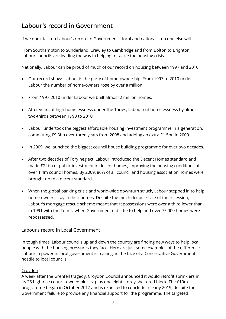## **Labour's record in Government**

If we don't talk up Labour's record in Government – local and national – no one else will.

From Southampton to Sunderland, Crawley to Cambridge and from Bolton to Brighton, Labour councils are leading the way in helping to tackle the housing crisis.

Nationally, Labour can be proud of much of our record on housing between 1997 and 2010.

- Our record shows Labour is the party of home-ownership. From 1997 to 2010 under Labour the number of home-owners rose by over a million.
- From 1997-2010 under Labour we built almost 2 million homes.
- After years of high homelessness under the Tories, Labour cut homelessness by almost two-thirds between 1998 to 2010.
- Labour undertook the biggest affordable housing investment programme in a generation, committing £9.3bn over three years from 2008 and adding an extra £1.5bn in 2009.
- In 2009, we launched the biggest council house building programme for over two decades.
- After two decades of Tory neglect, Labour introduced the Decent Homes standard and made £22bn of public investment in decent homes, improving the housing conditions of over 1.4m council homes. By 2009, 86% of all council and housing association homes were brought up to a decent standard.
- When the global banking crisis and world-wide downturn struck, Labour stepped in to help home-owners stay in their homes. Despite the much deeper scale of the recession, Labour's mortgage rescue scheme meant that repossessions were over a third lower than in 1991 with the Tories, when Government did little to help and over 75,000 homes were repossessed.

#### Labour's record in Local Government

In tough times, Labour councils up and down the country are finding new ways to help local people with the housing pressures they face. Here are just some examples of the difference Labour in power in local government is making, in the face of a Conservative Government hostile to local councils.

#### **Croydon**

A week after the Grenfell tragedy, Croydon Council announced it would retrofit sprinklers in its 25 high-rise council-owned blocks, plus one eight storey sheltered block. The £10m programme began in October 2017 and is expected to conclude in early 2019, despite the Government failure to provide any financial support for the programme. The targeted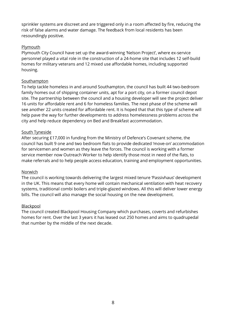sprinkler systems are discreet and are triggered only in a room affected by fire, reducing the risk of false alarms and water damage. The feedback from local residents has been resoundingly positive.

#### **Plymouth**

Plymouth City Council have set up the award-winning 'Nelson Project', where ex-service personnel played a vital role in the construction of a 24-home site that includes 12 self-build homes for military veterans and 12 mixed use affordable homes, including supported housing.

#### Southampton

To help tackle homeless in and around Southampton, the council has built 44 two-bedroom family homes out of shipping container units, apt for a port city, on a former council depot site. The partnership between the council and a housing developer will see the project deliver 16 units for affordable rent and 6 for homeless families. The next phase of the scheme will see another 22 units created for affordable rent. It is hoped that that this type of scheme will help pave the way for further developments to address homelessness problems across the city and help reduce dependency on Bed and Breakfast accommodation.

#### South Tyneside

After securing £17,000 in funding from the Ministry of Defence's Covenant scheme, the council has built 9 one and two bedroom flats to provide dedicated 'move-on' accommodation for servicemen and women as they leave the forces. The council is working with a former service member now Outreach Worker to help identify those most in need of the flats, to make referrals and to help people access education, training and employment opportunities.

#### Norwich

The council is working towards delivering the largest mixed tenure 'Passivhaus' development in the UK. This means that every home will contain mechanical ventilation with heat recovery systems, traditional combi boilers and triple-glazed windows. All this will deliver lower energy bills. The council will also manage the social housing on the new development.

#### Blackpool

The council created Blackpool Housing Company which purchases, coverts and refurbishes homes for rent. Over the last 3 years it has leased out 250 homes and aims to quadrupedal that number by the middle of the next decade.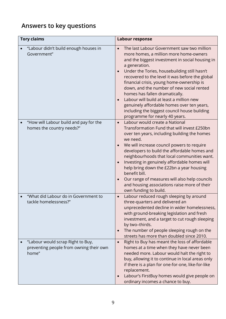## **Answers to key questions**

| <b>Tory claims</b> |                                                                                       | Labour response                                                                                                                                                                                                                                                                                                                                                                                                                                                                                                                                                                  |
|--------------------|---------------------------------------------------------------------------------------|----------------------------------------------------------------------------------------------------------------------------------------------------------------------------------------------------------------------------------------------------------------------------------------------------------------------------------------------------------------------------------------------------------------------------------------------------------------------------------------------------------------------------------------------------------------------------------|
|                    | "Labour didn't build enough houses in<br>Government"                                  | The last Labour Government saw two million<br>more homes, a million more home-owners<br>and the biggest investment in social housing in<br>a generation.<br>Under the Tories, housebuilding still hasn't<br>recovered to the level it was before the global<br>financial crisis, young home-ownership is<br>down, and the number of new social rented<br>homes has fallen dramatically.<br>Labour will build at least a million new<br>$\bullet$<br>genuinely affordable homes over ten years,<br>including the biggest council house building<br>programme for nearly 40 years. |
|                    | "How will Labour build and pay for the<br>homes the country needs?"                   | Labour would create a National<br>$\bullet$<br>Transformation Fund that will invest £250bn<br>over ten years, including building the homes<br>we need.<br>We will increase council powers to require<br>developers to build the affordable homes and<br>neighbourhoods that local communities want.<br>Investing in genuinely affordable homes will<br>help bring down the £22bn a year housing<br>benefit bill.<br>Our range of measures will also help councils<br>$\bullet$<br>and housing associations raise more of their<br>own funding to build.                          |
|                    | "What did Labour do in Government to<br>tackle homelessness?"                         | Labour reduced rough sleeping by around<br>$\bullet$<br>three-quarters and delivered an<br>unprecedented decline in wider homelessness,<br>with ground-breaking legislation and fresh<br>investment, and a target to cut rough sleeping<br>by two-thirds.<br>The number of people sleeping rough on the<br>streets has more than doubled since 2010.                                                                                                                                                                                                                             |
|                    | "Labour would scrap Right to Buy,<br>preventing people from owning their own<br>home" | Right to Buy has meant the loss of affordable<br>$\bullet$<br>homes at a time when they have never been<br>needed more. Labour would halt the right to<br>buy, allowing it to continue in local areas only<br>if there is a plan for one-for-one, like-for-like<br>replacement.<br>Labour's FirstBuy homes would give people on<br>ordinary incomes a chance to buy.                                                                                                                                                                                                             |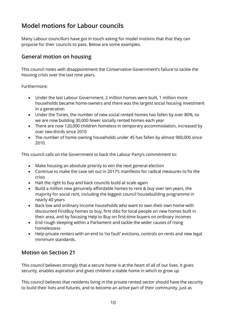## **Model motions for Labour councils**

Many Labour councillors have got in touch asking for model motions that that they can propose for their councils to pass. Below are some examples.

## **General motion on housing**

This council notes with disappointment the Conservative Government's failure to tackle the housing crisis over the last nine years.

Furthermore:

- Under the last Labour Government, 2 million homes were built, 1 million more households became home-owners and there was the largest social housing investment in a generation
- Under the Tories, the number of new social rented homes has fallen by over 80%, so we are now building 30,000 fewer socially rented homes each year
- There are now 120,000 children homeless in temporary accommodation, increased by over two-thirds since 2010
- The number of home-owning households under 45 has fallen by almost 900,000 since 2010.

This council calls on the Government to back the Labour Party's commitment to:

- Make housing an absolute priority to win the next general election
- Continue to make the case set out in 2017's manifesto for radical measures to fix the crisis
- Halt the right to buy and back councils build at scale again
- Build a million new genuinely affordable homes to rent & buy over ten years, the majority for social rent, including the biggest council housebuilding programme in nearly 40 years
- Back low and ordinary income households who want to own their own home with discounted FirstBuy homes to buy, first dibs for local people on new homes built in their area, and by focusing Help to Buy on first-time buyers on ordinary incomes
- End rough sleeping within a Parliament and tackle the wider causes of rising homelessess
- Help private renters with an end to 'no fault' evictions, controls on rents and new legal minimum standards.

### **Motion on Section 21**

This council believes strongly that a secure home is at the heart of all of our lives. It gives security, enables aspiration and gives children a stable home in which to grow up

This council believes that residents living in the private rented sector should have the security to build their lives and futures, and to become an active part of their community, just as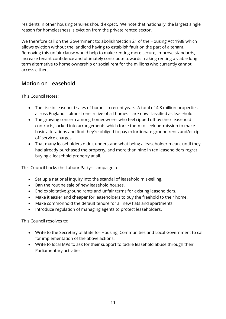residents in other housing tenures should expect. We note that nationally, the largest single reason for homelessness is eviction from the private rented sector.

We therefore call on the Government to: abolish 'section 21 of the Housing Act 1988 which allows eviction without the landlord having to establish fault on the part of a tenant. Removing this unfair clause would help to make renting more secure, improve standards, increase tenant confidence and ultimately contribute towards making renting a viable longterm alternative to home ownership or social rent for the millions who currently cannot access either.

## **Motion on Leasehold**

This Council Notes:

- The rise in leasehold sales of homes in recent years. A total of 4.3 million properties across England – almost one in five of all homes – are now classified as leasehold.
- The growing concern among homeowners who feel ripped off by their leasehold contracts, locked into arrangements which force them to seek permission to make basic alterations and find they're obliged to pay extortionate ground rents and/or ripoff service charges.
- That many leaseholders didn't understand what being a leaseholder meant until they had already purchased the property, and more than nine in ten leaseholders regret buying a leasehold property at all.

This Council backs the Labour Party's campaign to:

- Set up a national inquiry into the scandal of leasehold mis-selling.
- Ban the routine sale of new leasehold houses.
- End exploitative ground rents and unfair terms for existing leaseholders.
- Make it easier and cheaper for leaseholders to buy the freehold to their home.
- Make commonhold the default tenure for all new flats and apartments.
- Introduce regulation of managing agents to protect leaseholders.

This Council resolves to:

- Write to the Secretary of State for Housing, Communities and Local Government to call for implementation of the above actions.
- Write to local MPs to ask for their support to tackle leasehold abuse through their Parliamentary activities.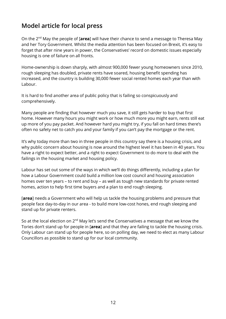## **Model article for local press**

On the 2nd May the people of [**area**] will have their chance to send a message to Theresa May and her Tory Government. Whilst the media attention has been focused on Brexit, it's easy to forget that after nine years in power, the Conservatives' record on domestic issues especially housing is one of failure on all fronts.

Home-ownership is down sharply, with almost 900,000 fewer young homeowners since 2010, rough sleeping has doubled, private rents have soared, housing benefit spending has increased, and the country is building 30,000 fewer social rented homes each year than with Labour.

It is hard to find another area of public policy that is failing so conspicuously and comprehensively.

Many people are finding that however much you save, it still gets harder to buy that first home. However many hours you might work or how much more you might earn, rents still eat up more of you pay packet. And however hard you might try, if you fall on hard times there's often no safety net to catch you and your family if you can't pay the mortgage or the rent.

It's why today more than two in three people in this country say there is a housing crisis, and why public concern about housing is now around the highest level it has been in 40 years. You have a right to expect better, and a right to expect Government to do more to deal with the failings in the housing market and housing policy.

Labour has set out some of the ways in which we'll do things differently, including a plan for how a Labour Government could build a million low cost council and housing association homes over ten years – to rent and buy – as well as tough new standards for private rented homes, action to help first time buyers and a plan to end rough sleeping.

[**area**] needs a Government who will help us tackle the housing problems and pressure that people face day-to-day in our area - to build more low-cost hones, end rough sleeping and stand up for private renters.

So at the local election on 2<sup>nd</sup> May let's send the Conservatives a message that we know the Tories don't stand up for people in [**area**] and that they are failing to tackle the housing crisis. Only Labour can stand up for people here, so on polling day, we need to elect as many Labour Councillors as possible to stand up for our local community.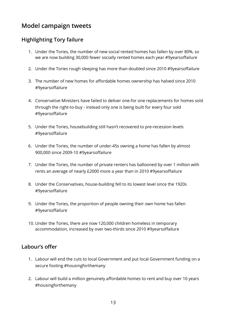## **Model campaign tweets**

## **Highlighting Tory failure**

- 1. Under the Tories, the number of new social rented homes has fallen by over 80%, so we are now building 30,000 fewer socially rented homes each year #9yearsoffailure
- 2. Under the Tories rough sleeping has more than doubled since 2010 #9yearsoffailure
- 3. The number of new homes for affordable homes ownership has halved since 2010 #9yearsoffailure
- 4. Conservative Ministers have failed to deliver one-for one replacements for homes sold through the right-to-buy - instead only one is being built for every four sold #9yearsoffailure
- 5. Under the Tories, housebuilding still hasn't recovered to pre-recession levels #9yearsoffailure
- 6. Under the Tories, the number of under-45s owning a home has fallen by almost 900,000 since 2009-10 #9yearsoffailure
- 7. Under the Tories, the number of private renters has ballooned by over 1 million with rents an average of nearly £2000 more a year than in 2010 #9yearsoffailure
- 8. Under the Conservatives, house-building fell to its lowest level since the 1920s #9yearsoffailure
- 9. Under the Tories, the proportion of people owning their own home has fallen #9yearsoffailure
- 10. Under the Tories, there are now 120,000 children homeless in temporary accommodation, increased by over two-thirds since 2010 #9yearsoffailure

#### **Labour's offer**

- 1. Labour will end the cuts to local Government and put local Government funding on a secure footing #housingforthemany
- 2. Labour will build a million genuinely affordable homes to rent and buy over 10 years #housingforthemany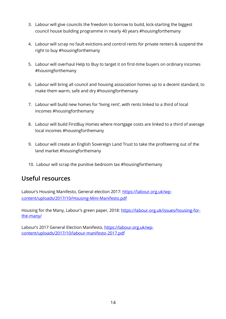- 3. Labour will give councils the freedom to borrow to build, kick-starting the biggest council house building programme in nearly 40 years #housingforthemany
- 4. Labour will scrap no fault evictions and control rents for private renters & suspend the right to buy #housingforthemany
- 5. Labour will overhaul Help to Buy to target it on first-time buyers on ordinary incomes #housingforthemany
- 6. Labour will bring all council and housing association homes up to a decent standard, to make them warm, safe and dry #housingforthemany
- 7. Labour will build new homes for 'living rent', with rents linked to a third of local incomes #housingforthemany
- 8. Labour will build FirstBuy Homes where mortgage costs are linked to a third of average local incomes #housingforthemany
- 9. Labour will create an English Sovereign Land Trust to take the profiteering out of the land market #housingforthemany
- 10. Labour will scrap the punitive bedroom tax #housingforthemany

## **Useful resources**

Labour's Housing Manifesto, General election 2017: https://labour.org.uk/wpcontent/uploads/2017/10/Housing-Mini-Manifesto.pdf

Housing for the Many, Labour's green paper, 2018: https://labour.org.uk/issues/housing-forthe-many/

Labour's 2017 General Election Manifesto, https://labour.org.uk/wpcontent/uploads/2017/10/labour-manifesto-2017.pdf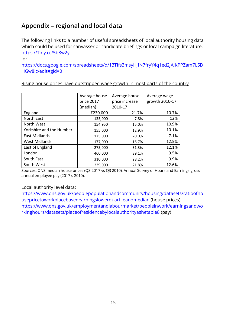## **Appendix – regional and local data**

The following links to a number of useful spreadsheets of local authority housing data which could be used for canvasser or candidate briefings or local campaign literature. https://Tiny.cc/5b8w2y

or

https://docs.google.com/spreadsheets/d/13TIfs3msyHJfN7fryY4q1ed2jAlKPPZam7LSD HGw8ic/edit#gid=0

Rising house prices have outstripped wage growth in most parts of the country

|                          | Average house<br>price 2017<br>(median) | Average house<br>price increase<br>2010-17 | Average wage<br>growth 2010-17 |
|--------------------------|-----------------------------------------|--------------------------------------------|--------------------------------|
| England                  | £230,000                                | 21.7%                                      | 10.7%                          |
| North East               | 135,000                                 | 7.8%                                       | 12%                            |
| North West               | 154,950                                 | 15.0%                                      | 10.9%                          |
| Yorkshire and the Humber | 155,000                                 | 12.9%                                      | 10.1%                          |
| <b>East Midlands</b>     | 175,000                                 | 20.0%                                      | 7.1%                           |
| <b>West Midlands</b>     | 177,000                                 | 16.7%                                      | 12.5%                          |
| East of England          | 275,000                                 | 31.3%                                      | 12.1%                          |
| London                   | 460,000                                 | 39.1%                                      | 9.5%                           |
| South East               | 310,000                                 | 28.2%                                      | 9.9%                           |
| South West               | 239,000                                 | 21.8%                                      | 12.6%                          |

Sources: ONS median house prices (Q3 2017 vs Q3 2010), Annual Survey of Hours and Earnings gross annual employee pay (2017 s 2010).

#### Local authority level data:

https://www.ons.gov.uk/peoplepopulationandcommunity/housing/datasets/ratioofho usepricetoworkplacebasedearningslowerquartileandmedian (house prices) https://www.ons.gov.uk/employmentandlabourmarket/peopleinwork/earningsandwo rkinghours/datasets/placeofresidencebylocalauthorityashetable8 (pay)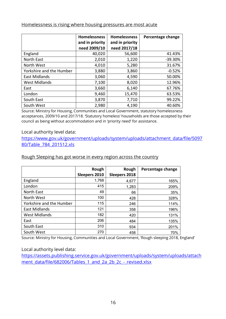#### Homelessness is rising where housing pressures are most acute

|                          | <b>Homelessness</b><br>and in priority | <b>Homelessness</b><br>and in priority | Percentage change |
|--------------------------|----------------------------------------|----------------------------------------|-------------------|
|                          | need 2009/10                           | need 2017/18                           |                   |
| England                  | 40,020                                 | 56,600                                 | 41.43%            |
| North East               | 2,010                                  | 1,220                                  | $-39.30%$         |
| North West               | 4,010                                  | 5,280                                  | 31.67%            |
| Yorkshire and the Humber | 3,880                                  | 3,860                                  | $-0.52%$          |
| <b>East Midlands</b>     | 3,060                                  | 4,590                                  | 50.00%            |
| <b>West Midlands</b>     | 7,100                                  | 8,020                                  | 12.96%            |
| East                     | 3,660                                  | 6,140                                  | 67.76%            |
| London                   | 9,460                                  | 15,470                                 | 63.53%            |
| South East               | 3,870                                  | 7,710                                  | 99.22%            |
| South West               | 2,980                                  | 4,190                                  | 40.60%            |

Source: Ministry for Housing, Communities and Local Government, statutory homelessness acceptances, 2009/10 and 2017/18. 'Statutory homeless' households are those accepted by their council as being without accommodation and in 'priority need' for assistance.

#### Local authority level data:

https://www.gov.uk/government/uploads/system/uploads/attachment\_data/file/5097 80/Table\_784\_201512.xls

#### Rough Sleeping has got worse in every region across the country

|                          | Rough         | Rough                | Percentage change |
|--------------------------|---------------|----------------------|-------------------|
|                          | Sleepers 2010 | <b>Sleepers 2018</b> |                   |
| England                  | 1,768         | 4,677                | 165%              |
| London                   | 415           | 1,283                | 209%              |
| North East               | 49            | 66                   | 35%               |
| North West               | 100           | 428                  | 328%              |
| Yorkshire and the Humber | 115           | 246                  | 114%              |
| <b>East Midlands</b>     | 121           | 358                  | 196%              |
| <b>West Midlands</b>     | 182           | 420                  | 131%              |
| East                     | 206           | 484                  | 135%              |
| South East               | 310           | 934                  | 201%              |
| South West               | 270           | 458                  | 70%               |

Source: Ministry for Housing, Communities and Local Government, 'Rough sleeping 2018, England'

#### Local authority level data:

https://assets.publishing.service.gov.uk/government/uploads/system/uploads/attach ment\_data/file/682006/Tables\_1\_and\_2a\_2b\_2c\_-\_revised.xlsx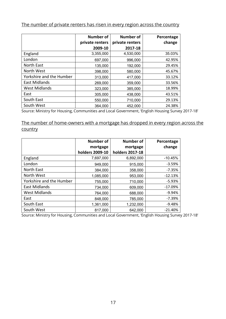The number of private renters has risen in every region across the country

|                          | Number of<br>private renters | <b>Number of</b><br>private renters | Percentage<br>change |
|--------------------------|------------------------------|-------------------------------------|----------------------|
|                          | 2009-10                      | 2017-18                             |                      |
| England                  | 3,355,000                    | 4,530,000                           | 35.03%               |
| London                   | 697,000                      | 996,000                             | 42.95%               |
| North East               | 135,000                      | 192,000                             | 29.45%               |
| North West               | 398,000                      | 580,000                             | 45.67%               |
| Yorkshire and the Humber | 313,000                      | 417,000                             | 33.12%               |
| <b>East Midlands</b>     | 269,000                      | 359,000                             | 33.56%               |
| <b>West Midlands</b>     | 323,000                      | 385,000                             | 18.99%               |
| East                     | 305,000                      | 438,000                             | 43.51%               |
| South East               | 550,000                      | 710,000                             | 29.13%               |
| South West               | 364,000                      | 452,000                             | 24.38%               |

Source: Ministry for Housing, Communities and Local Government, 'English Housing Survey 2017-18'

The number of home-owners with a mortgage has dropped in every region across the country

|                          | <b>Number of</b> | <b>Number of</b>       | Percentage |
|--------------------------|------------------|------------------------|------------|
|                          | mortgage         | mortgage               | change     |
|                          | holders 2009-10  | <b>holders 2017-18</b> |            |
| England                  | 7,697,000        | 6,892,000              | $-10.45%$  |
| London                   | 949,000          | 915,000                | $-3.59%$   |
| North East               | 384,000          | 358,000                | $-7.35%$   |
| North West               | 1,085,000        | 953,000                | $-12.13%$  |
| Yorkshire and the Humber | 755,000          | 710,000                | $-5.93%$   |
| <b>East Midlands</b>     | 734,000          | 609,000                | $-17.09%$  |
| <b>West Midlands</b>     | 764,000          | 688,000                | $-9.94%$   |
| East                     | 848,000          | 785,000                | $-7.39%$   |
| South East               | 1,361,000        | 1,232,000              | $-9.48%$   |
| South West               | 817,000          | 642,000                | $-21.40%$  |

Source: Ministry for Housing, Communities and Local Government, 'English Housing Survey 2017-18'